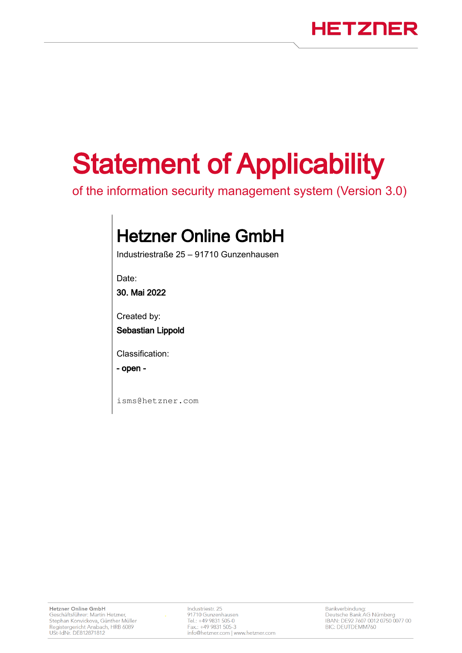# Statement of Applicability

of the information security management system (Version 3.0)

# Hetzner Online GmbH

Industriestraße 25 – 91710 Gunzenhausen

Date:

30. Mai 2022

Created by:

Sebastian Lippold

Classification:

- open -

isms@hetzner.com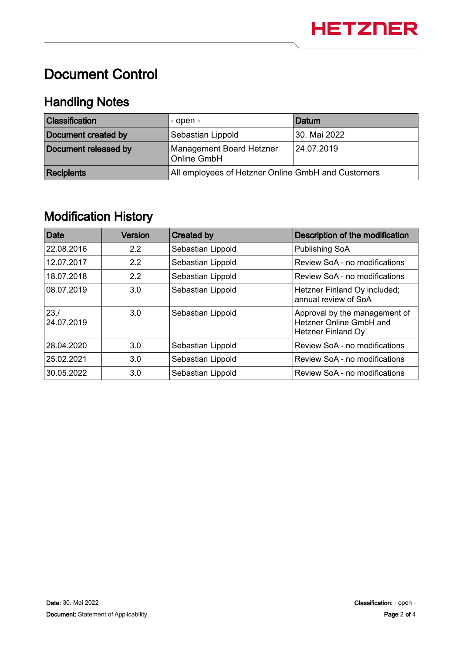## Document Control

### Handling Notes

| <b>Classification</b> | - open -                                           | Datum        |
|-----------------------|----------------------------------------------------|--------------|
| Document created by   | Sebastian Lippold                                  | 30. Mai 2022 |
| Document released by  | <b>Management Board Hetzner</b><br>Online GmbH     | 24.07.2019   |
| <b>Recipients</b>     | All employees of Hetzner Online GmbH and Customers |              |

#### Modification History

| <b>Date</b>        | <b>Version</b>       | <b>Created by</b>                      | Description of the modification                                                                                                                                                                                            |  |
|--------------------|----------------------|----------------------------------------|----------------------------------------------------------------------------------------------------------------------------------------------------------------------------------------------------------------------------|--|
| 22.08.2016         | 2.2                  | Sebastian Lippold                      | Publishing SoA<br>Review SoA - no modifications<br>Review SoA - no modifications<br>Hetzner Finland Oy included;<br>annual review of SoA<br>Approval by the management of<br>Hetzner Online GmbH and<br>Hetzner Finland Oy |  |
| 12.07.2017         | $2.2^{\circ}$<br>2.2 | Sebastian Lippold<br>Sebastian Lippold |                                                                                                                                                                                                                            |  |
| 18.07.2018         |                      |                                        |                                                                                                                                                                                                                            |  |
| 08.07.2019         | 3.0                  | Sebastian Lippold                      |                                                                                                                                                                                                                            |  |
| 23.1<br>24.07.2019 | 3.0                  | Sebastian Lippold                      |                                                                                                                                                                                                                            |  |
| 28.04.2020         | 3.0                  | Sebastian Lippold                      | Review SoA - no modifications                                                                                                                                                                                              |  |
| 25.02.2021         | 3.0                  | Sebastian Lippold                      | Review SoA - no modifications                                                                                                                                                                                              |  |
| 30.05.2022         | 3.0                  | Sebastian Lippold                      | Review SoA - no modifications                                                                                                                                                                                              |  |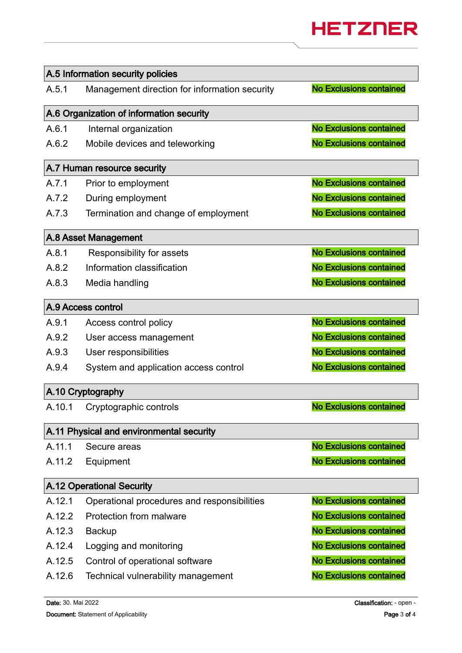

| A.5 Information security policies |                                               |                                |  |  |
|-----------------------------------|-----------------------------------------------|--------------------------------|--|--|
| A.5.1                             | Management direction for information security | <b>No Exclusions contained</b> |  |  |
|                                   | A.6 Organization of information security      |                                |  |  |
| A.6.1                             | Internal organization                         | <b>No Exclusions contained</b> |  |  |
| A.6.2                             | Mobile devices and teleworking                | <b>No Exclusions contained</b> |  |  |
|                                   | A.7 Human resource security                   |                                |  |  |
| A.7.1                             | Prior to employment                           | <b>No Exclusions contained</b> |  |  |
| A.7.2                             | During employment                             | <b>No Exclusions contained</b> |  |  |
| A.7.3                             | Termination and change of employment          | <b>No Exclusions contained</b> |  |  |
|                                   | A.8 Asset Management                          |                                |  |  |
| A.8.1                             | Responsibility for assets                     | <b>No Exclusions contained</b> |  |  |
| A.8.2                             | Information classification                    | <b>No Exclusions contained</b> |  |  |
| A.8.3                             | Media handling                                | <b>No Exclusions contained</b> |  |  |
|                                   | A.9 Access control                            |                                |  |  |
| A.9.1                             | Access control policy                         | <b>No Exclusions contained</b> |  |  |
| A.9.2                             | User access management                        | <b>No Exclusions contained</b> |  |  |
| A.9.3                             | User responsibilities                         | <b>No Exclusions contained</b> |  |  |
| A.9.4                             | System and application access control         | <b>No Exclusions contained</b> |  |  |
| A.10 Cryptography                 |                                               |                                |  |  |
| A.10.1                            | Cryptographic controls                        | <b>No Exclusions contained</b> |  |  |
|                                   | A.11 Physical and environmental security      |                                |  |  |
| A.11.1                            | Secure areas                                  | <b>No Exclusions contained</b> |  |  |
| A.11.2                            | Equipment                                     | <b>No Exclusions contained</b> |  |  |
|                                   | <b>A.12 Operational Security</b>              |                                |  |  |
| A.12.1                            | Operational procedures and responsibilities   | <b>No Exclusions contained</b> |  |  |
| A.12.2                            | Protection from malware                       | <b>No Exclusions contained</b> |  |  |
| A.12.3                            | <b>Backup</b>                                 | <b>No Exclusions contained</b> |  |  |
| A.12.4                            | Logging and monitoring                        | <b>No Exclusions contained</b> |  |  |
| A.12.5                            | Control of operational software               | <b>No Exclusions contained</b> |  |  |
| A.12.6                            | Technical vulnerability management            | <b>No Exclusions contained</b> |  |  |